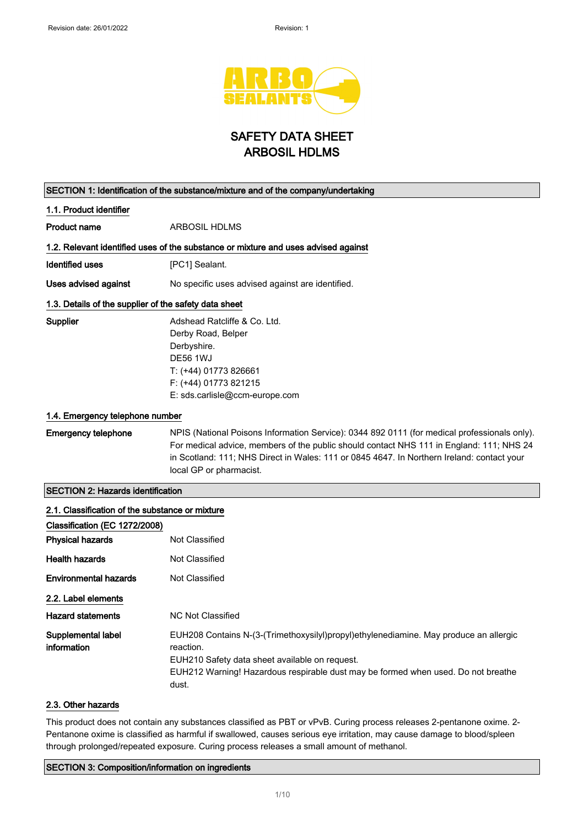

## SAFETY DATA SHEET ARBOSIL HDLMS

| SECTION 1: Identification of the substance/mixture and of the company/undertaking                           |                                                                                                                                                                                                                                                                                                                   |
|-------------------------------------------------------------------------------------------------------------|-------------------------------------------------------------------------------------------------------------------------------------------------------------------------------------------------------------------------------------------------------------------------------------------------------------------|
| 1.1. Product identifier                                                                                     |                                                                                                                                                                                                                                                                                                                   |
| <b>Product name</b>                                                                                         | ARBOSIL HDLMS                                                                                                                                                                                                                                                                                                     |
|                                                                                                             | 1.2. Relevant identified uses of the substance or mixture and uses advised against                                                                                                                                                                                                                                |
| Identified uses                                                                                             | [PC1] Sealant.                                                                                                                                                                                                                                                                                                    |
| Uses advised against                                                                                        | No specific uses advised against are identified.                                                                                                                                                                                                                                                                  |
| 1.3. Details of the supplier of the safety data sheet                                                       |                                                                                                                                                                                                                                                                                                                   |
| Supplier                                                                                                    | Adshead Ratcliffe & Co. Ltd.<br>Derby Road, Belper<br>Derbyshire.<br><b>DE56 1WJ</b><br>T: (+44) 01773 826661<br>F: (+44) 01773 821215<br>E: sds.carlisle@ccm-europe.com                                                                                                                                          |
| 1.4. Emergency telephone number                                                                             |                                                                                                                                                                                                                                                                                                                   |
| <b>Emergency telephone</b>                                                                                  | NPIS (National Poisons Information Service): 0344 892 0111 (for medical professionals only).<br>For medical advice, members of the public should contact NHS 111 in England: 111; NHS 24<br>in Scotland: 111; NHS Direct in Wales: 111 or 0845 4647. In Northern Ireland: contact your<br>local GP or pharmacist. |
| <b>SECTION 2: Hazards identification</b>                                                                    |                                                                                                                                                                                                                                                                                                                   |
| 2.1. Classification of the substance or mixture<br>Classification (EC 1272/2008)<br><b>Physical hazards</b> | Not Classified                                                                                                                                                                                                                                                                                                    |
| <b>Health hazards</b>                                                                                       | Not Classified                                                                                                                                                                                                                                                                                                    |
| <b>Environmental hazards</b><br>2.2. Label elements                                                         | Not Classified                                                                                                                                                                                                                                                                                                    |
| <b>Hazard statements</b>                                                                                    | <b>NC Not Classified</b>                                                                                                                                                                                                                                                                                          |
| Supplemental label<br>information                                                                           | EUH208 Contains N-(3-(Trimethoxysilyl)propyl)ethylenediamine. May produce an allergic<br>reaction.<br>EUH210 Safety data sheet available on request.<br>EUH212 Warning! Hazardous respirable dust may be formed when used. Do not breathe                                                                         |

#### 2.3. Other hazards

This product does not contain any substances classified as PBT or vPvB. Curing process releases 2-pentanone oxime. 2- Pentanone oxime is classified as harmful if swallowed, causes serious eye irritation, may cause damage to blood/spleen through prolonged/repeated exposure. Curing process releases a small amount of methanol.

#### SECTION 3: Composition/information on ingredients

dust.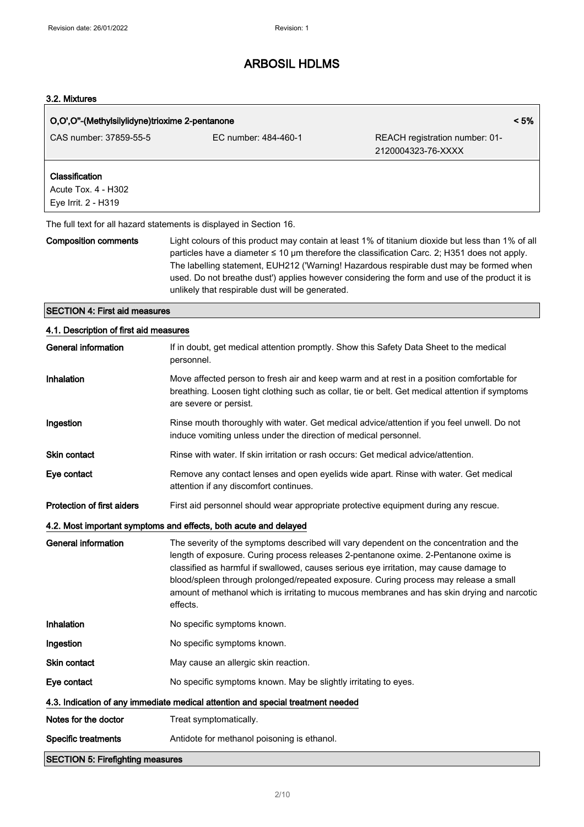#### 3.2. Mixtures

| O,O',O"-(Methylsilylidyne)trioxime 2-pentanone               |                                                                                                                                                                                                                                                                                                                                                                                                                                                                             | < 5%                                                 |
|--------------------------------------------------------------|-----------------------------------------------------------------------------------------------------------------------------------------------------------------------------------------------------------------------------------------------------------------------------------------------------------------------------------------------------------------------------------------------------------------------------------------------------------------------------|------------------------------------------------------|
| CAS number: 37859-55-5                                       | EC number: 484-460-1                                                                                                                                                                                                                                                                                                                                                                                                                                                        | REACH registration number: 01-<br>2120004323-76-XXXX |
| Classification<br>Acute Tox. 4 - H302<br>Eye Irrit. 2 - H319 |                                                                                                                                                                                                                                                                                                                                                                                                                                                                             |                                                      |
|                                                              | The full text for all hazard statements is displayed in Section 16.                                                                                                                                                                                                                                                                                                                                                                                                         |                                                      |
| <b>Composition comments</b>                                  | Light colours of this product may contain at least 1% of titanium dioxide but less than 1% of all<br>particles have a diameter $\leq 10$ µm therefore the classification Carc. 2; H351 does not apply.<br>The labelling statement, EUH212 ('Warning! Hazardous respirable dust may be formed when<br>used. Do not breathe dust') applies however considering the form and use of the product it is<br>unlikely that respirable dust will be generated.                      |                                                      |
| <b>SECTION 4: First aid measures</b>                         |                                                                                                                                                                                                                                                                                                                                                                                                                                                                             |                                                      |
| 4.1. Description of first aid measures                       |                                                                                                                                                                                                                                                                                                                                                                                                                                                                             |                                                      |
| <b>General information</b>                                   | If in doubt, get medical attention promptly. Show this Safety Data Sheet to the medical<br>personnel.                                                                                                                                                                                                                                                                                                                                                                       |                                                      |
| Inhalation                                                   | Move affected person to fresh air and keep warm and at rest in a position comfortable for<br>breathing. Loosen tight clothing such as collar, tie or belt. Get medical attention if symptoms<br>are severe or persist.                                                                                                                                                                                                                                                      |                                                      |
| Ingestion                                                    | Rinse mouth thoroughly with water. Get medical advice/attention if you feel unwell. Do not<br>induce vomiting unless under the direction of medical personnel.                                                                                                                                                                                                                                                                                                              |                                                      |
| <b>Skin contact</b>                                          | Rinse with water. If skin irritation or rash occurs: Get medical advice/attention.                                                                                                                                                                                                                                                                                                                                                                                          |                                                      |
| Eye contact                                                  | Remove any contact lenses and open eyelids wide apart. Rinse with water. Get medical<br>attention if any discomfort continues.                                                                                                                                                                                                                                                                                                                                              |                                                      |
| <b>Protection of first aiders</b>                            | First aid personnel should wear appropriate protective equipment during any rescue.                                                                                                                                                                                                                                                                                                                                                                                         |                                                      |
|                                                              | 4.2. Most important symptoms and effects, both acute and delayed                                                                                                                                                                                                                                                                                                                                                                                                            |                                                      |
| General information                                          | The severity of the symptoms described will vary dependent on the concentration and the<br>length of exposure. Curing process releases 2-pentanone oxime. 2-Pentanone oxime is<br>classified as harmful if swallowed, causes serious eye irritation, may cause damage to<br>blood/spleen through prolonged/repeated exposure. Curing process may release a small<br>amount of methanol which is irritating to mucous membranes and has skin drying and narcotic<br>effects. |                                                      |
| Inhalation                                                   | No specific symptoms known.                                                                                                                                                                                                                                                                                                                                                                                                                                                 |                                                      |
| Ingestion                                                    | No specific symptoms known.                                                                                                                                                                                                                                                                                                                                                                                                                                                 |                                                      |
| Skin contact                                                 | May cause an allergic skin reaction.                                                                                                                                                                                                                                                                                                                                                                                                                                        |                                                      |
| Eye contact                                                  | No specific symptoms known. May be slightly irritating to eyes.                                                                                                                                                                                                                                                                                                                                                                                                             |                                                      |
|                                                              | 4.3. Indication of any immediate medical attention and special treatment needed                                                                                                                                                                                                                                                                                                                                                                                             |                                                      |
| Notes for the doctor                                         | Treat symptomatically.                                                                                                                                                                                                                                                                                                                                                                                                                                                      |                                                      |
| <b>Specific treatments</b>                                   | Antidote for methanol poisoning is ethanol.                                                                                                                                                                                                                                                                                                                                                                                                                                 |                                                      |
| <b>SECTION 5: Firefighting measures</b>                      |                                                                                                                                                                                                                                                                                                                                                                                                                                                                             |                                                      |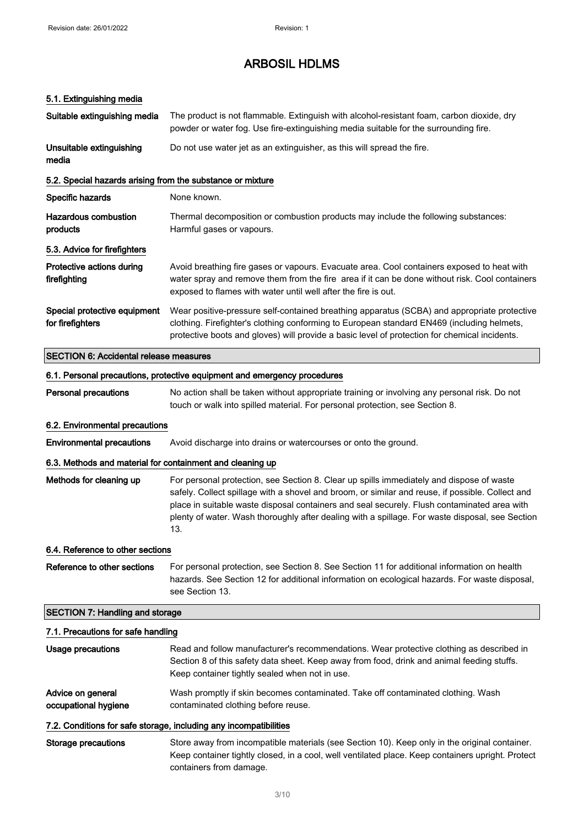### 5.1. Extinguishing media

| Suitable extinguishing media                               | The product is not flammable. Extinguish with alcohol-resistant foam, carbon dioxide, dry<br>powder or water fog. Use fire-extinguishing media suitable for the surrounding fire.                                                                                                                                                                                                                     |
|------------------------------------------------------------|-------------------------------------------------------------------------------------------------------------------------------------------------------------------------------------------------------------------------------------------------------------------------------------------------------------------------------------------------------------------------------------------------------|
| Unsuitable extinguishing<br>media                          | Do not use water jet as an extinguisher, as this will spread the fire.                                                                                                                                                                                                                                                                                                                                |
| 5.2. Special hazards arising from the substance or mixture |                                                                                                                                                                                                                                                                                                                                                                                                       |
| Specific hazards                                           | None known.                                                                                                                                                                                                                                                                                                                                                                                           |
| <b>Hazardous combustion</b><br>products                    | Thermal decomposition or combustion products may include the following substances:<br>Harmful gases or vapours.                                                                                                                                                                                                                                                                                       |
| 5.3. Advice for firefighters                               |                                                                                                                                                                                                                                                                                                                                                                                                       |
| Protective actions during<br>firefighting                  | Avoid breathing fire gases or vapours. Evacuate area. Cool containers exposed to heat with<br>water spray and remove them from the fire area if it can be done without risk. Cool containers<br>exposed to flames with water until well after the fire is out.                                                                                                                                        |
| Special protective equipment<br>for firefighters           | Wear positive-pressure self-contained breathing apparatus (SCBA) and appropriate protective<br>clothing. Firefighter's clothing conforming to European standard EN469 (including helmets,<br>protective boots and gloves) will provide a basic level of protection for chemical incidents.                                                                                                            |
| <b>SECTION 6: Accidental release measures</b>              |                                                                                                                                                                                                                                                                                                                                                                                                       |
|                                                            | 6.1. Personal precautions, protective equipment and emergency procedures                                                                                                                                                                                                                                                                                                                              |
| <b>Personal precautions</b>                                | No action shall be taken without appropriate training or involving any personal risk. Do not<br>touch or walk into spilled material. For personal protection, see Section 8.                                                                                                                                                                                                                          |
| 6.2. Environmental precautions                             |                                                                                                                                                                                                                                                                                                                                                                                                       |
| <b>Environmental precautions</b>                           | Avoid discharge into drains or watercourses or onto the ground.                                                                                                                                                                                                                                                                                                                                       |
| 6.3. Methods and material for containment and cleaning up  |                                                                                                                                                                                                                                                                                                                                                                                                       |
| Methods for cleaning up                                    | For personal protection, see Section 8. Clear up spills immediately and dispose of waste<br>safely. Collect spillage with a shovel and broom, or similar and reuse, if possible. Collect and<br>place in suitable waste disposal containers and seal securely. Flush contaminated area with<br>plenty of water. Wash thoroughly after dealing with a spillage. For waste disposal, see Section<br>13. |
| 6.4. Reference to other sections                           |                                                                                                                                                                                                                                                                                                                                                                                                       |
| Reference to other sections                                | For personal protection, see Section 8. See Section 11 for additional information on health<br>hazards. See Section 12 for additional information on ecological hazards. For waste disposal,<br>see Section 13.                                                                                                                                                                                       |
| <b>SECTION 7: Handling and storage</b>                     |                                                                                                                                                                                                                                                                                                                                                                                                       |
| 7.1. Precautions for safe handling                         |                                                                                                                                                                                                                                                                                                                                                                                                       |
| Usage precautions                                          | Read and follow manufacturer's recommendations. Wear protective clothing as described in<br>Section 8 of this safety data sheet. Keep away from food, drink and animal feeding stuffs.<br>Keep container tightly sealed when not in use.                                                                                                                                                              |
| Advice on general<br>occupational hygiene                  | Wash promptly if skin becomes contaminated. Take off contaminated clothing. Wash<br>contaminated clothing before reuse.                                                                                                                                                                                                                                                                               |
|                                                            | 7.2. Conditions for safe storage, including any incompatibilities                                                                                                                                                                                                                                                                                                                                     |
| <b>Storage precautions</b>                                 | Store away from incompatible materials (see Section 10). Keep only in the original container.<br>Keep container tightly closed, in a cool, well ventilated place. Keep containers upright. Protect<br>containers from damage.                                                                                                                                                                         |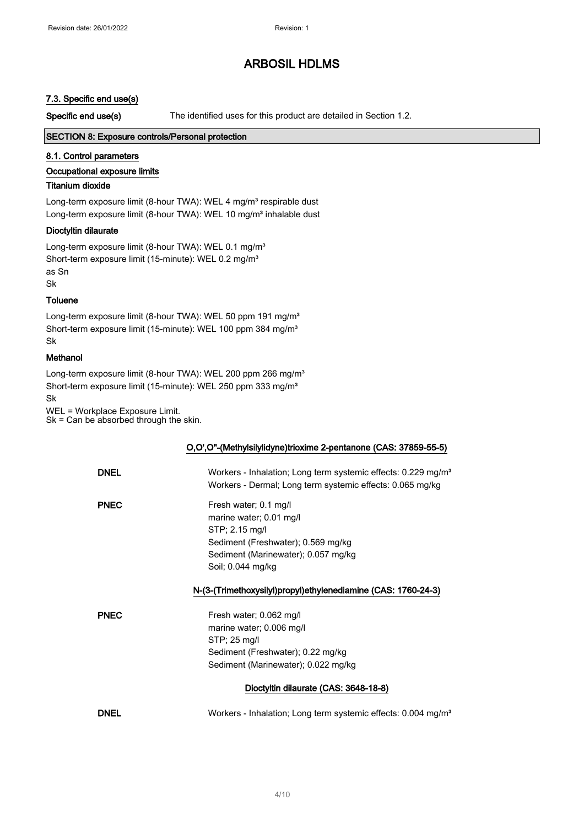#### 7.3. Specific end use(s)

Specific end use(s) The identified uses for this product are detailed in Section 1.2.

#### SECTION 8: Exposure controls/Personal protection

#### 8.1. Control parameters

#### Occupational exposure limits

#### Titanium dioxide

Long-term exposure limit (8-hour TWA): WEL 4 mg/m<sup>3</sup> respirable dust Long-term exposure limit (8-hour TWA): WEL 10 mg/m<sup>3</sup> inhalable dust

#### Dioctyltin dilaurate

Long-term exposure limit (8-hour TWA): WEL 0.1 mg/m<sup>3</sup> Short-term exposure limit (15-minute): WEL 0.2 mg/m<sup>3</sup> as Sn Sk

#### **Toluene**

Long-term exposure limit (8-hour TWA): WEL 50 ppm 191 mg/m<sup>3</sup> Short-term exposure limit (15-minute): WEL 100 ppm 384 mg/m<sup>3</sup> Sk

#### Methanol

Long-term exposure limit (8-hour TWA): WEL 200 ppm 266 mg/m<sup>3</sup> Short-term exposure limit (15-minute): WEL 250 ppm 333 mg/m<sup>3</sup> Sk

WEL = Workplace Exposure Limit. Sk = Can be absorbed through the skin.

#### O,O',O''-(Methylsilylidyne)trioxime 2-pentanone (CAS: 37859-55-5)

| <b>DNEL</b> | Workers - Inhalation; Long term systemic effects: 0.229 mg/m <sup>3</sup><br>Workers - Dermal; Long term systemic effects: 0.065 mg/kg                               |
|-------------|----------------------------------------------------------------------------------------------------------------------------------------------------------------------|
| <b>PNEC</b> | Fresh water; 0.1 mg/l<br>marine water; 0.01 mg/l<br>STP; 2.15 mg/l<br>Sediment (Freshwater); 0.569 mg/kg<br>Sediment (Marinewater); 0.057 mg/kg<br>Soil; 0.044 mg/kg |
|             | N-(3-(Trimethoxysilyl)propyl)ethylenediamine (CAS: 1760-24-3)                                                                                                        |
| <b>PNEC</b> | Fresh water; 0.062 mg/l<br>marine water; 0.006 mg/l<br>STP: 25 mg/l<br>Sediment (Freshwater); 0.22 mg/kg<br>Sediment (Marinewater); 0.022 mg/kg                      |
|             | Dioctyltin dilaurate (CAS: 3648-18-8)                                                                                                                                |
| <b>DNEL</b> | Workers - Inhalation; Long term systemic effects: 0.004 mg/m <sup>3</sup>                                                                                            |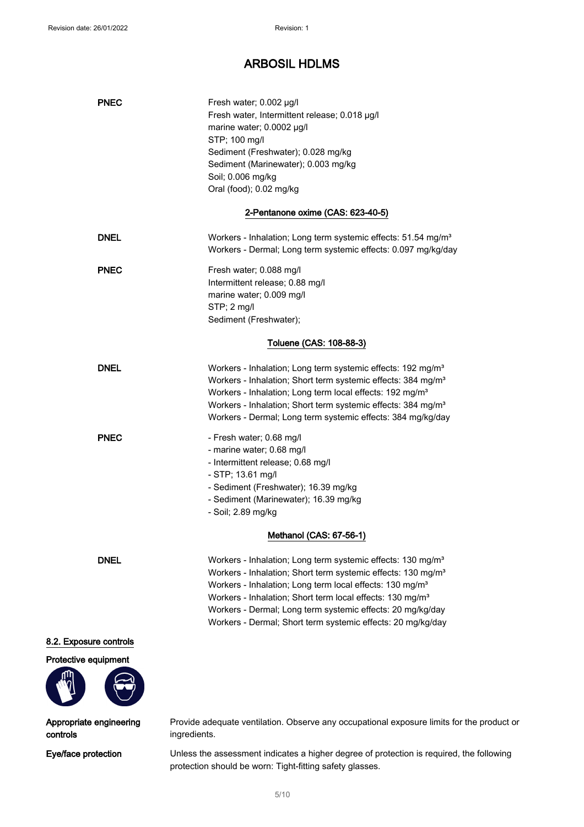| <b>PNEC</b>   | Fresh water; 0.002 µg/l<br>Fresh water, Intermittent release; 0.018 µg/l<br>marine water; 0.0002 µg/l<br>STP; 100 mg/l<br>Sediment (Freshwater); 0.028 mg/kg<br>Sediment (Marinewater); 0.003 mg/kg<br>Soil; 0.006 mg/kg<br>Oral (food); 0.02 mg/kg                                                                                                                                                                               |
|---------------|-----------------------------------------------------------------------------------------------------------------------------------------------------------------------------------------------------------------------------------------------------------------------------------------------------------------------------------------------------------------------------------------------------------------------------------|
|               | 2-Pentanone oxime (CAS: 623-40-5)                                                                                                                                                                                                                                                                                                                                                                                                 |
| <b>DNEL</b>   | Workers - Inhalation; Long term systemic effects: 51.54 mg/m <sup>3</sup><br>Workers - Dermal; Long term systemic effects: 0.097 mg/kg/day                                                                                                                                                                                                                                                                                        |
| <b>PNEC</b>   | Fresh water; 0.088 mg/l<br>Intermittent release; 0.88 mg/l<br>marine water; 0.009 mg/l<br>$STP$ ; 2 mg/l<br>Sediment (Freshwater);                                                                                                                                                                                                                                                                                                |
|               | Toluene (CAS: 108-88-3)                                                                                                                                                                                                                                                                                                                                                                                                           |
| <b>DNEL</b>   | Workers - Inhalation; Long term systemic effects: 192 mg/m <sup>3</sup><br>Workers - Inhalation; Short term systemic effects: 384 mg/m <sup>3</sup><br>Workers - Inhalation; Long term local effects: 192 mg/m <sup>3</sup><br>Workers - Inhalation; Short term systemic effects: 384 mg/m <sup>3</sup><br>Workers - Dermal; Long term systemic effects: 384 mg/kg/day                                                            |
| <b>PNEC</b>   | - Fresh water; 0.68 mg/l<br>- marine water; 0.68 mg/l<br>- Intermittent release; 0.68 mg/l<br>- STP; 13.61 mg/l<br>- Sediment (Freshwater); 16.39 mg/kg<br>- Sediment (Marinewater); 16.39 mg/kg<br>- Soil; 2.89 mg/kg                                                                                                                                                                                                            |
|               | Methanol (CAS: 67-56-1)                                                                                                                                                                                                                                                                                                                                                                                                           |
| <b>DNEL</b>   | Workers - Inhalation; Long term systemic effects: 130 mg/m <sup>3</sup><br>Workers - Inhalation; Short term systemic effects: 130 mg/m <sup>3</sup><br>Workers - Inhalation; Long term local effects: 130 mg/m <sup>3</sup><br>Workers - Inhalation; Short term local effects: 130 mg/m <sup>3</sup><br>Workers - Dermal; Long term systemic effects: 20 mg/kg/day<br>Workers - Dermal; Short term systemic effects: 20 mg/kg/day |
| ouro controlo |                                                                                                                                                                                                                                                                                                                                                                                                                                   |

### 8.2. Exposure controls





#### Appropriate engineering controls

Provide adequate ventilation. Observe any occupational exposure limits for the product or ingredients.

Eye/face protection Unless the assessment indicates a higher degree of protection is required, the following protection should be worn: Tight-fitting safety glasses.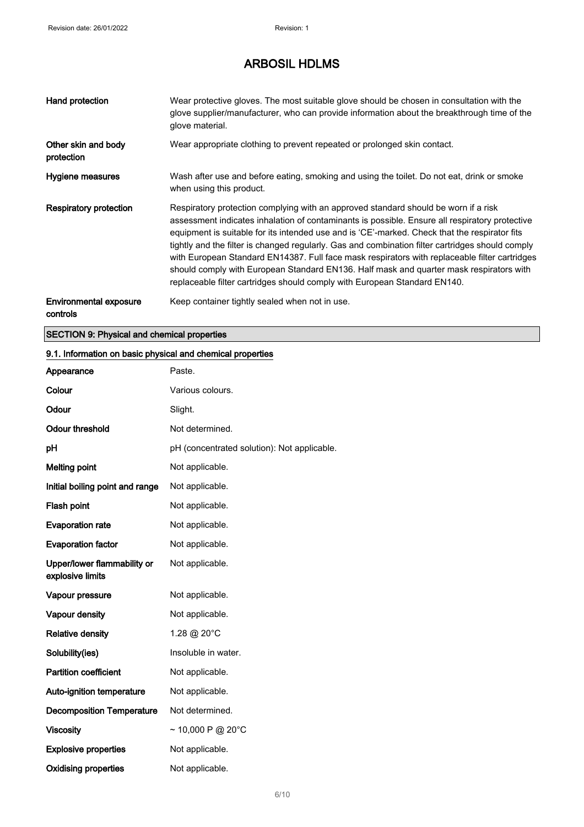| Hand protection                           | Wear protective gloves. The most suitable glove should be chosen in consultation with the<br>glove supplier/manufacturer, who can provide information about the breakthrough time of the<br>glove material.                                                                                                                                                                                                                                                                                                                                                                                                                                                         |
|-------------------------------------------|---------------------------------------------------------------------------------------------------------------------------------------------------------------------------------------------------------------------------------------------------------------------------------------------------------------------------------------------------------------------------------------------------------------------------------------------------------------------------------------------------------------------------------------------------------------------------------------------------------------------------------------------------------------------|
| Other skin and body<br>protection         | Wear appropriate clothing to prevent repeated or prolonged skin contact.                                                                                                                                                                                                                                                                                                                                                                                                                                                                                                                                                                                            |
| Hygiene measures                          | Wash after use and before eating, smoking and using the toilet. Do not eat, drink or smoke<br>when using this product.                                                                                                                                                                                                                                                                                                                                                                                                                                                                                                                                              |
| <b>Respiratory protection</b>             | Respiratory protection complying with an approved standard should be worn if a risk<br>assessment indicates inhalation of contaminants is possible. Ensure all respiratory protective<br>equipment is suitable for its intended use and is 'CE'-marked. Check that the respirator fits<br>tightly and the filter is changed regularly. Gas and combination filter cartridges should comply<br>with European Standard EN14387. Full face mask respirators with replaceable filter cartridges<br>should comply with European Standard EN136. Half mask and quarter mask respirators with<br>replaceable filter cartridges should comply with European Standard EN140. |
| <b>Environmental exposure</b><br>controls | Keep container tightly sealed when not in use.                                                                                                                                                                                                                                                                                                                                                                                                                                                                                                                                                                                                                      |

### SECTION 9: Physical and chemical properties

### 9.1. Information on basic physical and chemical properties

| Appearance                                      | Paste.                                      |
|-------------------------------------------------|---------------------------------------------|
| Colour                                          | Various colours.                            |
| Odour                                           | Slight.                                     |
| <b>Odour threshold</b>                          | Not determined.                             |
| pH                                              | pH (concentrated solution): Not applicable. |
| <b>Melting point</b>                            | Not applicable.                             |
| Initial boiling point and range                 | Not applicable.                             |
| Flash point                                     | Not applicable.                             |
| <b>Evaporation rate</b>                         | Not applicable.                             |
| <b>Evaporation factor</b>                       | Not applicable.                             |
| Upper/lower flammability or<br>explosive limits | Not applicable.                             |
| Vapour pressure                                 | Not applicable.                             |
| Vapour density                                  | Not applicable.                             |
| <b>Relative density</b>                         | 1.28 @ 20°C                                 |
| Solubility(ies)                                 | Insoluble in water.                         |
| <b>Partition coefficient</b>                    | Not applicable.                             |
| Auto-ignition temperature                       | Not applicable.                             |
| <b>Decomposition Temperature</b>                | Not determined.                             |
| <b>Viscosity</b>                                | $\sim$ 10,000 P @ 20°C                      |
| <b>Explosive properties</b>                     | Not applicable.                             |
| <b>Oxidising properties</b>                     | Not applicable.                             |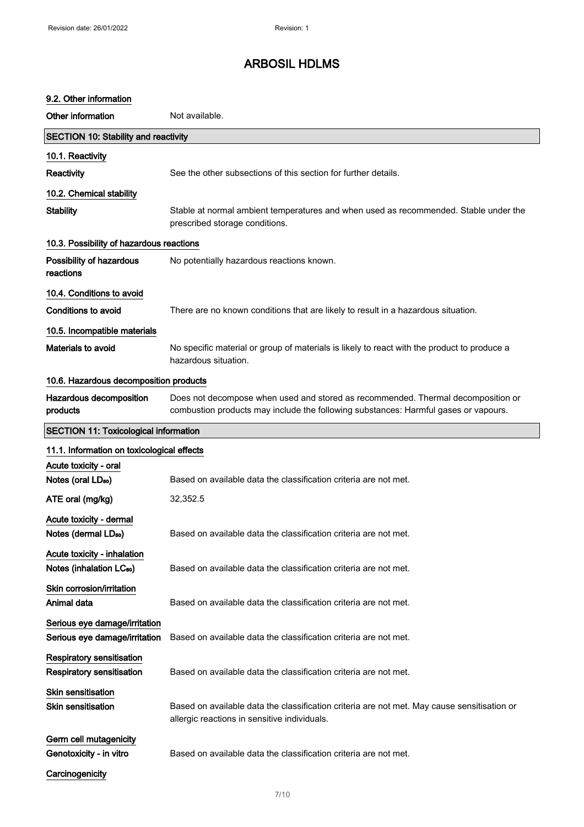#### 9.2. Other information

Other information Not available. SECTION 10: Stability and reactivity 10.1. Reactivity Reactivity See the other subsections of this section for further details. 10.2. Chemical stability Stability Stable at normal ambient temperatures and when used as recommended. Stable under the prescribed storage conditions. 10.3. Possibility of hazardous reactions Possibility of hazardous reactions No potentially hazardous reactions known. 10.4. Conditions to avoid Conditions to avoid There are no known conditions that are likely to result in a hazardous situation. 10.5. Incompatible materials Materials to avoid No specific material or group of materials is likely to react with the product to produce a hazardous situation. 10.6. Hazardous decomposition products Hazardous decomposition products Does not decompose when used and stored as recommended. Thermal decomposition or combustion products may include the following substances: Harmful gases or vapours. SECTION 11: Toxicological information 11.1. Information on toxicological effects Acute toxicity - oral Notes (oral LD<sub>so</sub>) Based on available data the classification criteria are not met. ATE oral (mg/kg) 32,352.5 Acute toxicity - dermal Notes (dermal LD<sub>so</sub>) Based on available data the classification criteria are not met. Acute toxicity - inhalation Notes (inhalation LC<sub>50</sub>) Based on available data the classification criteria are not met. Skin corrosion/irritation Animal data **Based on available data the classification criteria are not met.** Serious eye damage/irritation Serious eye damage/irritation Based on available data the classification criteria are not met. Respiratory sensitisation Respiratory sensitisation Based on available data the classification criteria are not met. Skin sensitisation Skin sensitisation **Based on available data the classification** criteria are not met. May cause sensitisation or allergic reactions in sensitive individuals. Germ cell mutagenicity Genotoxicity - in vitro **Based on available data the classification criteria are not met. Carcinogenicity**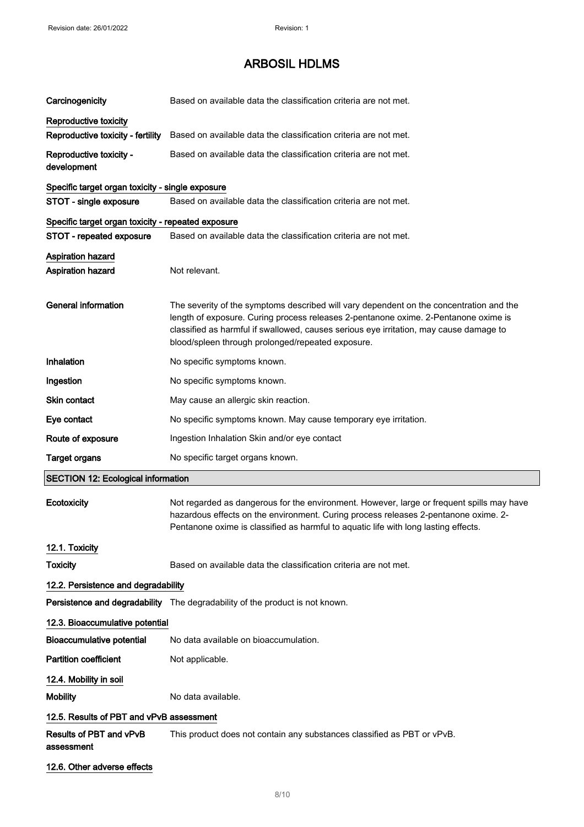| Carcinogenicity                                    | Based on available data the classification criteria are not met.                                                                                                                                                                                                                                                              |
|----------------------------------------------------|-------------------------------------------------------------------------------------------------------------------------------------------------------------------------------------------------------------------------------------------------------------------------------------------------------------------------------|
| Reproductive toxicity                              |                                                                                                                                                                                                                                                                                                                               |
| Reproductive toxicity - fertility                  | Based on available data the classification criteria are not met.                                                                                                                                                                                                                                                              |
| Reproductive toxicity -<br>development             | Based on available data the classification criteria are not met.                                                                                                                                                                                                                                                              |
| Specific target organ toxicity - single exposure   |                                                                                                                                                                                                                                                                                                                               |
| STOT - single exposure                             | Based on available data the classification criteria are not met.                                                                                                                                                                                                                                                              |
| Specific target organ toxicity - repeated exposure |                                                                                                                                                                                                                                                                                                                               |
| STOT - repeated exposure                           | Based on available data the classification criteria are not met.                                                                                                                                                                                                                                                              |
| <b>Aspiration hazard</b><br>Aspiration hazard      | Not relevant.                                                                                                                                                                                                                                                                                                                 |
| <b>General information</b>                         | The severity of the symptoms described will vary dependent on the concentration and the<br>length of exposure. Curing process releases 2-pentanone oxime. 2-Pentanone oxime is<br>classified as harmful if swallowed, causes serious eye irritation, may cause damage to<br>blood/spleen through prolonged/repeated exposure. |
| Inhalation                                         | No specific symptoms known.                                                                                                                                                                                                                                                                                                   |
| Ingestion                                          | No specific symptoms known.                                                                                                                                                                                                                                                                                                   |
| Skin contact                                       | May cause an allergic skin reaction.                                                                                                                                                                                                                                                                                          |
| Eye contact                                        | No specific symptoms known. May cause temporary eye irritation.                                                                                                                                                                                                                                                               |
| Route of exposure                                  | Ingestion Inhalation Skin and/or eye contact                                                                                                                                                                                                                                                                                  |
| <b>Target organs</b>                               | No specific target organs known.                                                                                                                                                                                                                                                                                              |
| <b>SECTION 12: Ecological information</b>          |                                                                                                                                                                                                                                                                                                                               |
| Ecotoxicity                                        | Not regarded as dangerous for the environment. However, large or frequent spills may have<br>hazardous effects on the environment. Curing process releases 2-pentanone oxime. 2-<br>Pentanone oxime is classified as harmful to aquatic life with long lasting effects.                                                       |
| 12.1. Toxicity                                     |                                                                                                                                                                                                                                                                                                                               |
| <b>Toxicity</b>                                    | Based on available data the classification criteria are not met.                                                                                                                                                                                                                                                              |
| 12.2. Persistence and degradability                |                                                                                                                                                                                                                                                                                                                               |
|                                                    | Persistence and degradability The degradability of the product is not known.                                                                                                                                                                                                                                                  |
| 12.3. Bioaccumulative potential                    |                                                                                                                                                                                                                                                                                                                               |
| <b>Bioaccumulative potential</b>                   | No data available on bioaccumulation.                                                                                                                                                                                                                                                                                         |
| <b>Partition coefficient</b>                       | Not applicable.                                                                                                                                                                                                                                                                                                               |
| 12.4. Mobility in soil                             |                                                                                                                                                                                                                                                                                                                               |
| <b>Mobility</b>                                    | No data available.                                                                                                                                                                                                                                                                                                            |
| 12.5. Results of PBT and vPvB assessment           |                                                                                                                                                                                                                                                                                                                               |
| Results of PBT and vPvB<br>assessment              | This product does not contain any substances classified as PBT or vPvB.                                                                                                                                                                                                                                                       |
| 12.6. Other adverse effects                        |                                                                                                                                                                                                                                                                                                                               |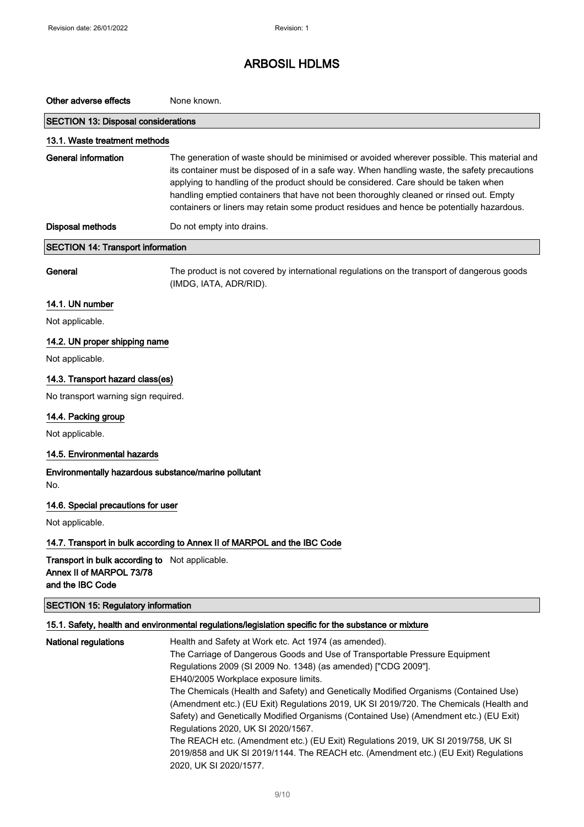# Other adverse effects None known. SECTION 13: Disposal considerations 13.1. Waste treatment methods General information The generation of waste should be minimised or avoided wherever possible. This material and its container must be disposed of in a safe way. When handling waste, the safety precautions applying to handling of the product should be considered. Care should be taken when handling emptied containers that have not been thoroughly cleaned or rinsed out. Empty containers or liners may retain some product residues and hence be potentially hazardous. Disposal methods Do not empty into drains. SECTION 14: Transport information General The product is not covered by international regulations on the transport of dangerous goods (IMDG, IATA, ADR/RID). 14.1. UN number Not applicable. 14.2. UN proper shipping name Not applicable. 14.3. Transport hazard class(es) No transport warning sign required. 14.4. Packing group Not applicable. 14.5. Environmental hazards Environmentally hazardous substance/marine pollutant No. 14.6. Special precautions for user Not applicable. 14.7. Transport in bulk according to Annex II of MARPOL and the IBC Code Transport in bulk according to Not applicable. Annex II of MARPOL 73/78 and the IBC Code SECTION 15: Regulatory information 15.1. Safety, health and environmental regulations/legislation specific for the substance or mixture National regulations **Health and Safety at Work etc. Act 1974** (as amended). The Carriage of Dangerous Goods and Use of Transportable Pressure Equipment Regulations 2009 (SI 2009 No. 1348) (as amended) ["CDG 2009"]. EH40/2005 Workplace exposure limits.

The Chemicals (Health and Safety) and Genetically Modified Organisms (Contained Use) (Amendment etc.) (EU Exit) Regulations 2019, UK SI 2019/720. The Chemicals (Health and Safety) and Genetically Modified Organisms (Contained Use) (Amendment etc.) (EU Exit) Regulations 2020, UK SI 2020/1567.

The REACH etc. (Amendment etc.) (EU Exit) Regulations 2019, UK SI 2019/758, UK SI 2019/858 and UK SI 2019/1144. The REACH etc. (Amendment etc.) (EU Exit) Regulations 2020, UK SI 2020/1577.